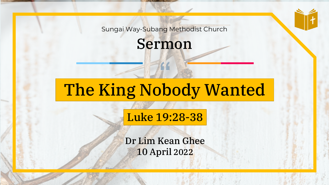Sungai Way-Subang Methodist Church

Sermon

# The King Nobody Wanted

#### Luke 19:28-38

Dr Lim Kean Ghee 10 April 2022

Sungai Way-Subang Methodist Church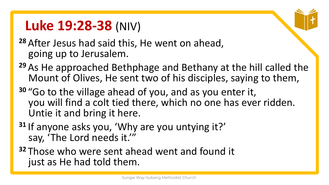## **Luke 19:28-38** (NIV)

- **<sup>28</sup>** After Jesus had said this, He went on ahead, going up to Jerusalem.
- **<sup>29</sup>** As He approached Bethphage and Bethany at the hill called the Mount of Olives, He sent two of his disciples, saying to them,
- **<sup>30</sup>** "Go to the village ahead of you, and as you enter it, you will find a colt tied there, which no one has ever ridden. Untie it and bring it here.
- **<sup>31</sup>** If anyone asks you, 'Why are you untying it?' say, 'The Lord needs it.'"
- **<sup>32</sup>** Those who were sent ahead went and found it just as He had told them.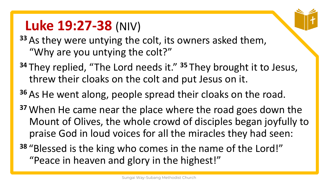## **Luke 19:27-38** (NIV)

- **<sup>33</sup>** As they were untying the colt, its owners asked them, "Why are you untying the colt?"
- **<sup>34</sup>** They replied, "The Lord needs it." **<sup>35</sup>** They brought it to Jesus, threw their cloaks on the colt and put Jesus on it.
- **<sup>36</sup>** As He went along, people spread their cloaks on the road.
- **<sup>37</sup>** When He came near the place where the road goes down the Mount of Olives, the whole crowd of disciples began joyfully to praise God in loud voices for all the miracles they had seen:
- **<sup>38</sup>** "Blessed is the king who comes in the name of the Lord!" "Peace in heaven and glory in the highest!"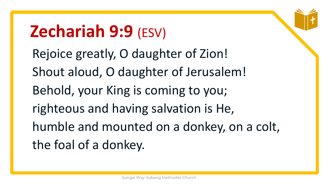# **Zechariah 9:9** (ESV)

Rejoice greatly, O daughter of Zion! Shout aloud, O daughter of Jerusalem! Behold, your King is coming to you; righteous and having salvation is He, humble and mounted on a donkey, on a colt, the foal of a donkey.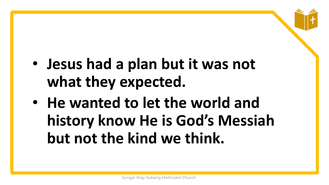- **Jesus had a plan but it was not what they expected.**
- **He wanted to let the world and history know He is God's Messiah but not the kind we think.**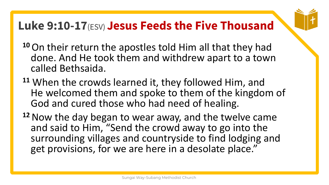### **Luke 9:10-17**(ESV) **Jesus Feeds the Five Thousand**

- 
- **<sup>10</sup>**On their return the apostles told Him all that they had done. And He took them and withdrew apart to a town called Bethsaida.
- **<sup>11</sup>** When the crowds learned it, they followed Him, and He welcomed them and spoke to them of the kingdom of God and cured those who had need of healing.
- **<sup>12</sup>**Now the day began to wear away, and the twelve came and said to Him, "Send the crowd away to go into the surrounding villages and countryside to find lodging and get provisions, for we are here in a desolate place."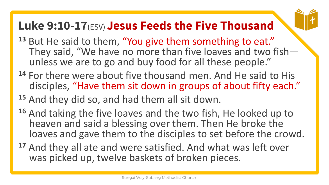### **Luke 9:10-17**(ESV) **Jesus Feeds the Five Thousand**



- **<sup>14</sup>** For there were about five thousand men. And He said to His disciples, "Have them sit down in groups of about fifty each."
- **<sup>15</sup>** And they did so, and had them all sit down.
- **<sup>16</sup>** And taking the five loaves and the two fish, He looked up to heaven and said a blessing over them. Then He broke the loaves and gave them to the disciples to set before the crowd.
- **<sup>17</sup>** And they all ate and were satisfied. And what was left over was picked up, twelve baskets of broken pieces.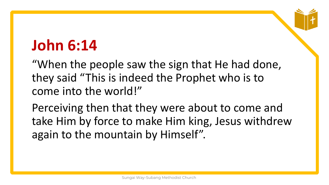## **John 6:14**

"When the people saw the sign that He had done, they said "This is indeed the Prophet who is to come into the world!"

Perceiving then that they were about to come and take Him by force to make Him king, Jesus withdrew again to the mountain by Himself".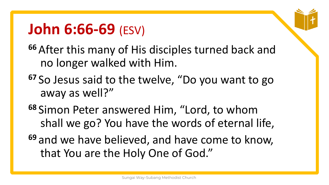## **John 6:66-69** (ESV)

- **<sup>66</sup>** After this many of His disciples turned back and no longer walked with Him.
- **<sup>67</sup>** So Jesus said to the twelve, "Do you want to go away as well?"
- **<sup>68</sup>** Simon Peter answered Him, "Lord, to whom shall we go? You have the words of eternal life,
- **<sup>69</sup>** and we have believed, and have come to know, that You are the Holy One of God."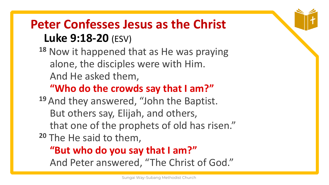### **Peter Confesses Jesus as the Christ Luke 9:18-20** (ESV)

**<sup>18</sup>** Now it happened that as He was praying alone, the disciples were with Him. And He asked them,

#### **"Who do the crowds say that I am?"**

**<sup>19</sup>** And they answered, "John the Baptist. But others say, Elijah, and others, that one of the prophets of old has risen."

**<sup>20</sup>** The He said to them,

#### **"But who do you say that I am?"**

And Peter answered, "The Christ of God."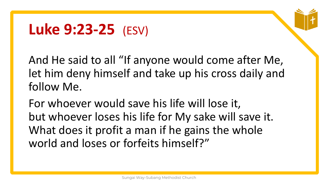## **Luke 9:23-25** (ESV)

And He said to all "If anyone would come after Me, let him deny himself and take up his cross daily and follow Me.

For whoever would save his life will lose it, but whoever loses his life for My sake will save it. What does it profit a man if he gains the whole world and loses or forfeits himself?"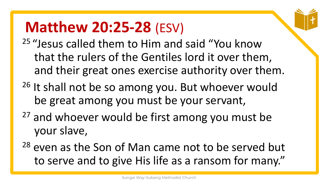## **Matthew 20:25-28** (ESV)

- <sup>25</sup> "Jesus called them to Him and said "You know that the rulers of the Gentiles lord it over them, and their great ones exercise authority over them.
- $26$  It shall not be so among you. But whoever would be great among you must be your servant,
- <sup>27</sup> and whoever would be first among you must be your slave,
- <sup>28</sup> even as the Son of Man came not to be served but to serve and to give His life as a ransom for many."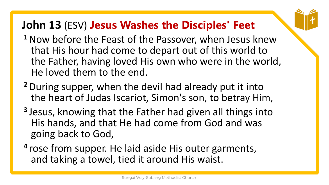- **<sup>1</sup>**Now before the Feast of the Passover, when Jesus knew that His hour had come to depart out of this world to the Father, having loved His own who were in the world, He loved them to the end.
- **<sup>2</sup>**During supper, when the devil had already put it into the heart of Judas Iscariot, Simon's son, to betray Him,
- **3** Jesus, knowing that the Father had given all things into His hands, and that He had come from God and was going back to God,
- **4** rose from supper. He laid aside His outer garments, and taking a towel, tied it around His waist.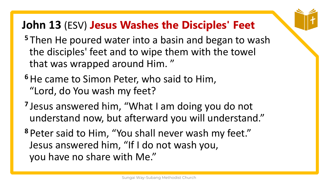- **<sup>5</sup>** Then He poured water into a basin and began to wash the disciples' feet and to wipe them with the towel that was wrapped around Him. "
- <sup>6</sup> He came to Simon Peter, who said to Him, "Lord, do You wash my feet?
- **7** Jesus answered him, "What I am doing you do not understand now, but afterward you will understand."
- **<sup>8</sup>** Peter said to Him, "You shall never wash my feet." Jesus answered him, "If I do not wash you, you have no share with Me."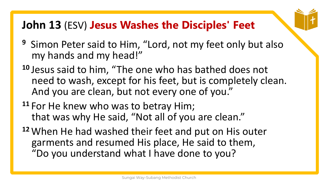- **<sup>9</sup>** Simon Peter said to Him, "Lord, not my feet only but also my hands and my head!"
- **<sup>10</sup>** Jesus said to him, "The one who has bathed does not need to wash, except for his feet, but is completely clean. And you are clean, but not every one of you."
- **<sup>11</sup>** For He knew who was to betray Him; that was why He said, "Not all of you are clean."
- **<sup>12</sup>** When He had washed their feet and put on His outer garments and resumed His place, He said to them, "Do you understand what I have done to you?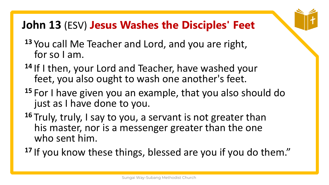- **<sup>13</sup>** You call Me Teacher and Lord, and you are right, for so I am.
- **<sup>14</sup>** If I then, your Lord and Teacher, have washed your feet, you also ought to wash one another's feet.
- **<sup>15</sup>** For I have given you an example, that you also should do just as I have done to you.
- **<sup>16</sup>** Truly, truly, I say to you, a servant is not greater than his master, nor is a messenger greater than the one who sent him.
- **<sup>17</sup>** If you know these things, blessed are you if you do them."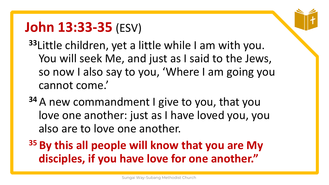## **John 13:33-35** (ESV)

**<sup>33</sup>**Little children, yet a little while I am with you. You will seek Me, and just as I said to the Jews, so now I also say to you, 'Where I am going you cannot come.'

- **<sup>34</sup>** A new commandment I give to you, that you love one another: just as I have loved you, you also are to love one another.
- **<sup>35</sup> By this all people will know that you are My disciples, if you have love for one another."**